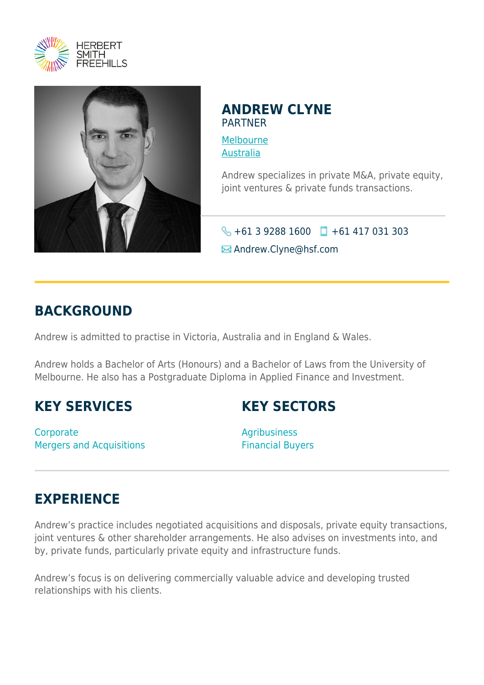



### **ANDREW CLYNE** PARTNER

[Melbourne](https://www.herbertsmithfreehills.com/where-we-work/melbourne) [Australia](https://www.herbertsmithfreehills.com/where-we-work/australia)

Andrew specializes in private M&A, private equity, joint ventures & private funds transactions.

 $\bigodot$  +61 3 9288 1600 +61 417 031 303 **E** Andrew.Clyne@hsf.com

## **BACKGROUND**

Andrew is admitted to practise in Victoria, Australia and in England & Wales.

Andrew holds a Bachelor of Arts (Honours) and a Bachelor of Laws from the University of Melbourne. He also has a Postgraduate Diploma in Applied Finance and Investment.

## **KEY SERVICES**

**Corporate** Mergers and Acquisitions

## **KEY SECTORS**

Agribusiness Financial Buyers

# **EXPERIENCE**

Andrew's practice includes negotiated acquisitions and disposals, private equity transactions, joint ventures & other shareholder arrangements. He also advises on investments into, and by, private funds, particularly private equity and infrastructure funds.

Andrew's focus is on delivering commercially valuable advice and developing trusted relationships with his clients.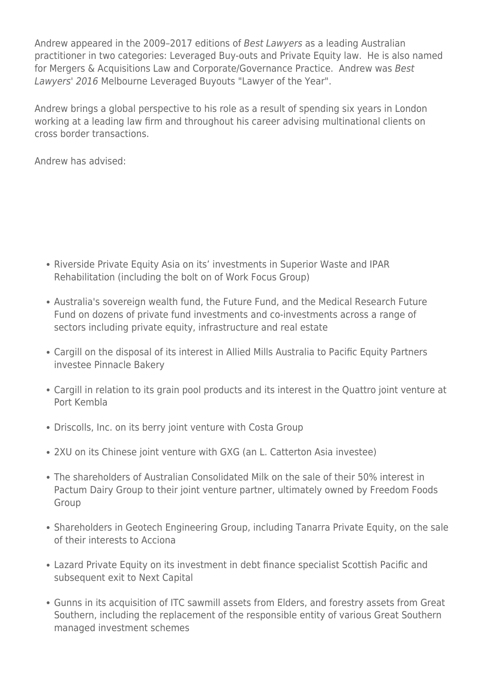Andrew appeared in the 2009–2017 editions of Best Lawyers as a leading Australian practitioner in two categories: Leveraged Buy-outs and Private Equity law. He is also named for Mergers & Acquisitions Law and Corporate/Governance Practice. Andrew was Best Lawyers' 2016 Melbourne Leveraged Buyouts "Lawyer of the Year".

Andrew brings a global perspective to his role as a result of spending six years in London working at a leading law firm and throughout his career advising multinational clients on cross border transactions.

Andrew has advised:

- Riverside Private Equity Asia on its' investments in Superior Waste and IPAR Rehabilitation (including the bolt on of Work Focus Group)
- Australia's sovereign wealth fund, the Future Fund, and the Medical Research Future Fund on dozens of private fund investments and co-investments across a range of sectors including private equity, infrastructure and real estate
- Cargill on the disposal of its interest in Allied Mills Australia to Pacific Equity Partners investee Pinnacle Bakery
- Cargill in relation to its grain pool products and its interest in the Quattro joint venture at Port Kembla
- Driscolls, Inc. on its berry joint venture with Costa Group
- 2XU on its Chinese joint venture with GXG (an L. Catterton Asia investee)
- The shareholders of Australian Consolidated Milk on the sale of their 50% interest in Pactum Dairy Group to their joint venture partner, ultimately owned by Freedom Foods Group
- Shareholders in Geotech Engineering Group, including Tanarra Private Equity, on the sale of their interests to Acciona
- Lazard Private Equity on its investment in debt finance specialist Scottish Pacific and subsequent exit to Next Capital
- Gunns in its acquisition of ITC sawmill assets from Elders, and forestry assets from Great Southern, including the replacement of the responsible entity of various Great Southern managed investment schemes